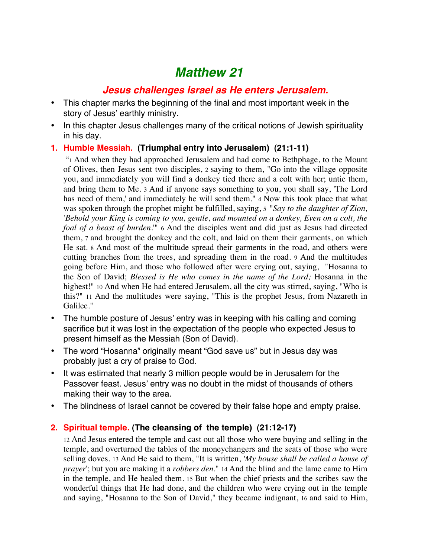# *Matthew 21*

## *Jesus challenges Israel as He enters Jerusalem.*

- This chapter marks the beginning of the final and most important week in the story of Jesus' earthly ministry.
- In this chapter Jesus challenges many of the critical notions of Jewish spirituality in his day.

#### **1. Humble Messiah. (Triumphal entry into Jerusalem) (21:1-11)**

 "1 And when they had approached Jerusalem and had come to Bethphage, to the Mount of Olives, then Jesus sent two disciples, 2 saying to them, "Go into the village opposite you, and immediately you will find a donkey tied there and a colt with her; untie them, and bring them to Me. 3 And if anyone says something to you, you shall say, 'The Lord has need of them,' and immediately he will send them." 4 Now this took place that what was spoken through the prophet might be fulfilled, saying, 5 "*Say to the daughter of Zion, 'Behold your King is coming to you, gentle, and mounted on a donkey, Even on a colt, the foal of a beast of burden.*'" 6 And the disciples went and did just as Jesus had directed them, 7 and brought the donkey and the colt, and laid on them their garments, on which He sat. 8 And most of the multitude spread their garments in the road, and others were cutting branches from the trees, and spreading them in the road. 9 And the multitudes going before Him, and those who followed after were crying out, saying, "Hosanna to the Son of David; *Blessed is He who comes in the name of the Lord;* Hosanna in the highest!" 10 And when He had entered Jerusalem, all the city was stirred, saying, "Who is this?" 11 And the multitudes were saying, "This is the prophet Jesus, from Nazareth in Galilee."

- The humble posture of Jesus' entry was in keeping with his calling and coming sacrifice but it was lost in the expectation of the people who expected Jesus to present himself as the Messiah (Son of David).
- The word "Hosanna" originally meant "God save us" but in Jesus day was probably just a cry of praise to God.
- It was estimated that nearly 3 million people would be in Jerusalem for the Passover feast. Jesus' entry was no doubt in the midst of thousands of others making their way to the area.
- The blindness of Israel cannot be covered by their false hope and empty praise.

### **2. Spiritual temple. (The cleansing of the temple) (21:12-17)**

12 And Jesus entered the temple and cast out all those who were buying and selling in the temple, and overturned the tables of the moneychangers and the seats of those who were selling doves. 13 And He said to them, "It is written, *'My house shall be called a house of prayer*'; but you are making it a *robbers den*." 14 And the blind and the lame came to Him in the temple, and He healed them. 15 But when the chief priests and the scribes saw the wonderful things that He had done, and the children who were crying out in the temple and saying, "Hosanna to the Son of David," they became indignant, 16 and said to Him,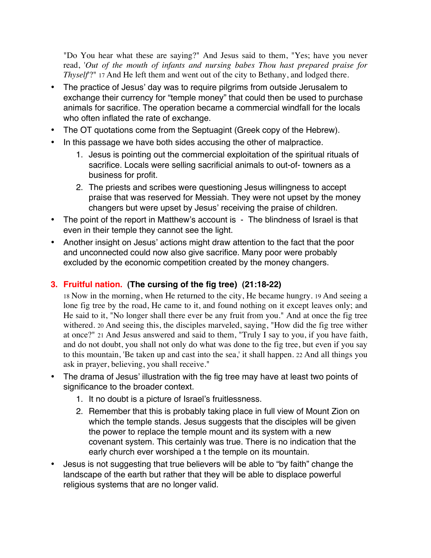"Do You hear what these are saying?" And Jesus said to them, "Yes; have you never read, '*Out of the mouth of infants and nursing babes Thou hast prepared praise for Thyself*'?" 17 And He left them and went out of the city to Bethany, and lodged there.

- The practice of Jesus' day was to require pilgrims from outside Jerusalem to exchange their currency for "temple money" that could then be used to purchase animals for sacrifice. The operation became a commercial windfall for the locals who often inflated the rate of exchange.
- The OT quotations come from the Septuagint (Greek copy of the Hebrew).
- In this passage we have both sides accusing the other of malpractice.
	- 1. Jesus is pointing out the commercial exploitation of the spiritual rituals of sacrifice. Locals were selling sacrificial animals to out-of- towners as a business for profit.
	- 2. The priests and scribes were questioning Jesus willingness to accept praise that was reserved for Messiah. They were not upset by the money changers but were upset by Jesus' receiving the praise of children.
- The point of the report in Matthew's account is The blindness of Israel is that even in their temple they cannot see the light.
- Another insight on Jesus' actions might draw attention to the fact that the poor and unconnected could now also give sacrifice. Many poor were probably excluded by the economic competition created by the money changers.

## **3. Fruitful nation. (The cursing of the fig tree) (21:18-22)**

18 Now in the morning, when He returned to the city, He became hungry. 19 And seeing a lone fig tree by the road, He came to it, and found nothing on it except leaves only; and He said to it, "No longer shall there ever be any fruit from you." And at once the fig tree withered. 20 And seeing this, the disciples marveled, saying, "How did the fig tree wither at once?" 21 And Jesus answered and said to them, "Truly I say to you, if you have faith, and do not doubt, you shall not only do what was done to the fig tree, but even if you say to this mountain, 'Be taken up and cast into the sea,' it shall happen. 22 And all things you ask in prayer, believing, you shall receive."

- The drama of Jesus' illustration with the fig tree may have at least two points of significance to the broader context.
	- 1. It no doubt is a picture of Israel's fruitlessness.
	- 2. Remember that this is probably taking place in full view of Mount Zion on which the temple stands. Jesus suggests that the disciples will be given the power to replace the temple mount and its system with a new covenant system. This certainly was true. There is no indication that the early church ever worshiped a t the temple on its mountain.
- Jesus is not suggesting that true believers will be able to "by faith" change the landscape of the earth but rather that they will be able to displace powerful religious systems that are no longer valid.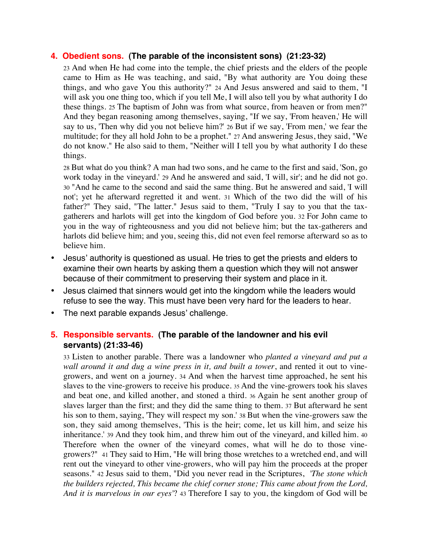#### **4. Obedient sons. (The parable of the inconsistent sons) (21:23-32)**

23 And when He had come into the temple, the chief priests and the elders of the people came to Him as He was teaching, and said, "By what authority are You doing these things, and who gave You this authority?" 24 And Jesus answered and said to them, "I will ask you one thing too, which if you tell Me, I will also tell you by what authority I do these things. 25 The baptism of John was from what source, from heaven or from men?" And they began reasoning among themselves, saying, "If we say, 'From heaven,' He will say to us, 'Then why did you not believe him?' 26 But if we say, 'From men,' we fear the multitude; for they all hold John to be a prophet." 27 And answering Jesus, they said, "We do not know." He also said to them, "Neither will I tell you by what authority I do these things.

28 But what do you think? A man had two sons, and he came to the first and said, 'Son, go work today in the vineyard.' 29 And he answered and said, 'I will, sir'; and he did not go. 30 "And he came to the second and said the same thing. But he answered and said, 'I will not'; yet he afterward regretted it and went. 31 Which of the two did the will of his father?" They said, "The latter." Jesus said to them, "Truly I say to you that the taxgatherers and harlots will get into the kingdom of God before you. 32 For John came to you in the way of righteousness and you did not believe him; but the tax-gatherers and harlots did believe him; and you, seeing this, did not even feel remorse afterward so as to believe him.

- Jesus' authority is questioned as usual. He tries to get the priests and elders to examine their own hearts by asking them a question which they will not answer because of their commitment to preserving their system and place in it.
- Jesus claimed that sinners would get into the kingdom while the leaders would refuse to see the way. This must have been very hard for the leaders to hear.
- The next parable expands Jesus' challenge.

#### **5. Responsible servants. (The parable of the landowner and his evil servants) (21:33-46)**

33 Listen to another parable. There was a landowner who *planted a vineyard and put a wall around it and dug a wine press in it, and built a tower*, and rented it out to vinegrowers, and went on a journey. 34 And when the harvest time approached, he sent his slaves to the vine-growers to receive his produce. 35 And the vine-growers took his slaves and beat one, and killed another, and stoned a third. 36 Again he sent another group of slaves larger than the first; and they did the same thing to them. 37 But afterward he sent his son to them, saying, 'They will respect my son.' 38 But when the vine-growers saw the son, they said among themselves, 'This is the heir; come, let us kill him, and seize his inheritance.' 39 And they took him, and threw him out of the vineyard, and killed him. 40 Therefore when the owner of the vineyard comes, what will he do to those vinegrowers?" 41 They said to Him, "He will bring those wretches to a wretched end, and will rent out the vineyard to other vine-growers, who will pay him the proceeds at the proper seasons." 42 Jesus said to them, "Did you never read in the Scriptures, *'The stone which the builders rejected, This became the chief corner stone; This came about from the Lord, And it is marvelous in our eyes'*? 43 Therefore I say to you, the kingdom of God will be